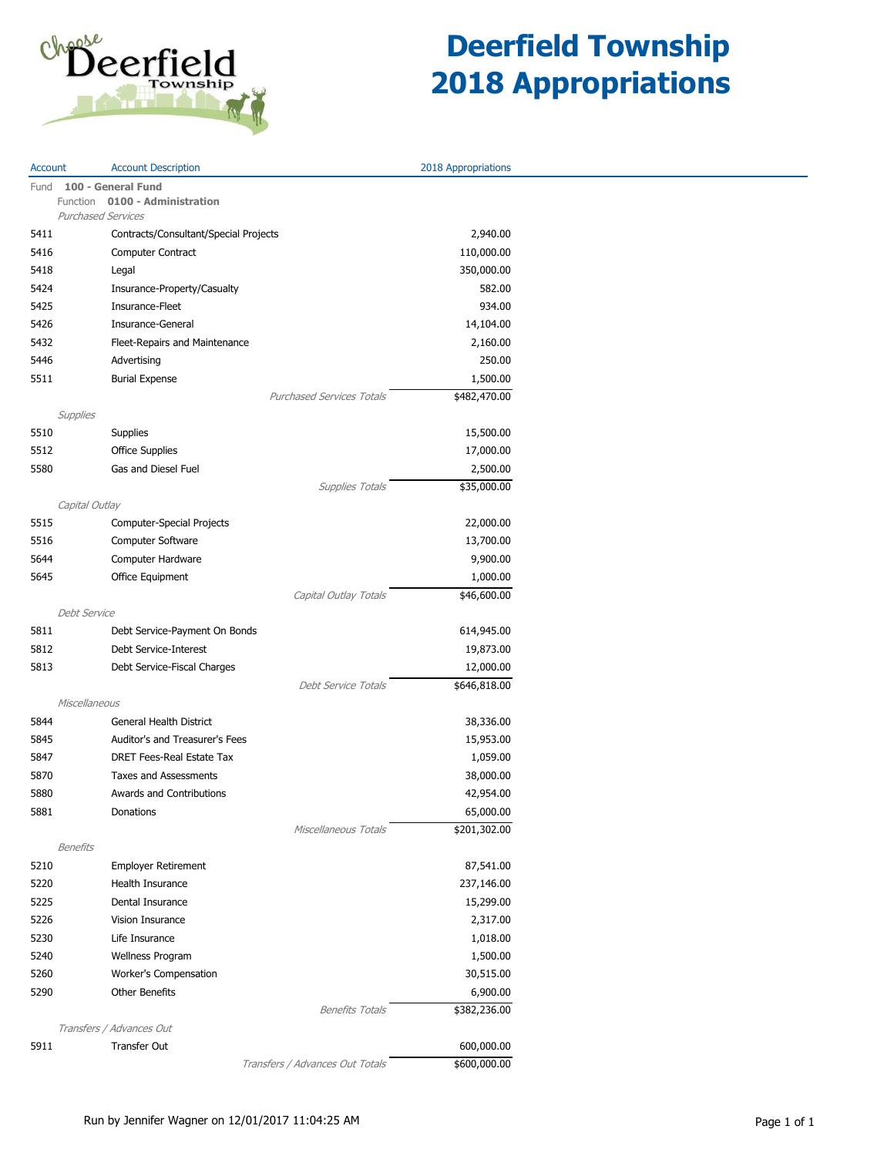

| Account  | <b>Account Description</b>            | 2018 Appropriations |  |
|----------|---------------------------------------|---------------------|--|
| Fund     | 100 - General Fund                    |                     |  |
|          | Function 0100 - Administration        |                     |  |
|          | <b>Purchased Services</b>             |                     |  |
| 5411     | Contracts/Consultant/Special Projects | 2,940.00            |  |
| 5416     | Computer Contract                     | 110,000.00          |  |
| 5418     | Legal                                 | 350,000.00          |  |
| 5424     | Insurance-Property/Casualty           | 582.00              |  |
| 5425     | Insurance-Fleet                       | 934.00              |  |
| 5426     | Insurance-General                     | 14,104.00           |  |
| 5432     | Fleet-Repairs and Maintenance         | 2,160.00            |  |
| 5446     | Advertising                           | 250.00              |  |
| 5511     | <b>Burial Expense</b>                 | 1,500.00            |  |
|          | <b>Purchased Services Totals</b>      | \$482,470.00        |  |
|          | Supplies                              |                     |  |
| 5510     | Supplies                              | 15,500.00           |  |
| 5512     | <b>Office Supplies</b>                | 17,000.00           |  |
| 5580     | Gas and Diesel Fuel                   | 2,500.00            |  |
|          | <b>Supplies Totals</b>                | \$35,000.00         |  |
|          | Capital Outlay                        |                     |  |
| 5515     | Computer-Special Projects             | 22,000.00           |  |
| 5516     | Computer Software                     | 13,700.00           |  |
| 5644     | Computer Hardware                     | 9,900.00            |  |
| 5645     | Office Equipment                      | 1,000.00            |  |
|          | Capital Outlay Totals                 | \$46,600.00         |  |
|          | Debt Service                          |                     |  |
| 5811     | Debt Service-Payment On Bonds         | 614,945.00          |  |
| 5812     | Debt Service-Interest                 | 19,873.00           |  |
| 5813     | Debt Service-Fiscal Charges           | 12,000.00           |  |
|          | Debt Service Totals                   | \$646,818.00        |  |
|          | Miscellaneous                         |                     |  |
| 5844     | General Health District               | 38,336.00           |  |
| 5845     | Auditor's and Treasurer's Fees        | 15,953.00           |  |
| 5847     | DRET Fees-Real Estate Tax             | 1,059.00            |  |
| 5870     | Taxes and Assessments                 | 38,000.00           |  |
| 5880     | Awards and Contributions              | 42,954.00           |  |
| 5881     | Donations                             | 65,000.00           |  |
|          | Miscellaneous Totals                  | \$201,302.00        |  |
| Benefits |                                       |                     |  |
| 5210     | <b>Employer Retirement</b>            | 87,541.00           |  |
| 5220     | Health Insurance                      | 237,146.00          |  |
| 5225     | Dental Insurance                      | 15,299.00           |  |
| 5226     | Vision Insurance                      | 2,317.00            |  |
| 5230     | Life Insurance                        | 1,018.00            |  |
| 5240     | Wellness Program                      | 1,500.00            |  |
| 5260     | Worker's Compensation                 | 30,515.00           |  |
| 5290     | Other Benefits                        | 6,900.00            |  |
|          | <b>Benefits Totals</b>                | \$382,236.00        |  |
|          | Transfers / Advances Out              |                     |  |
| 5911     | <b>Transfer Out</b>                   | 600,000.00          |  |
|          | Transfers / Advances Out Totals       | \$600,000.00        |  |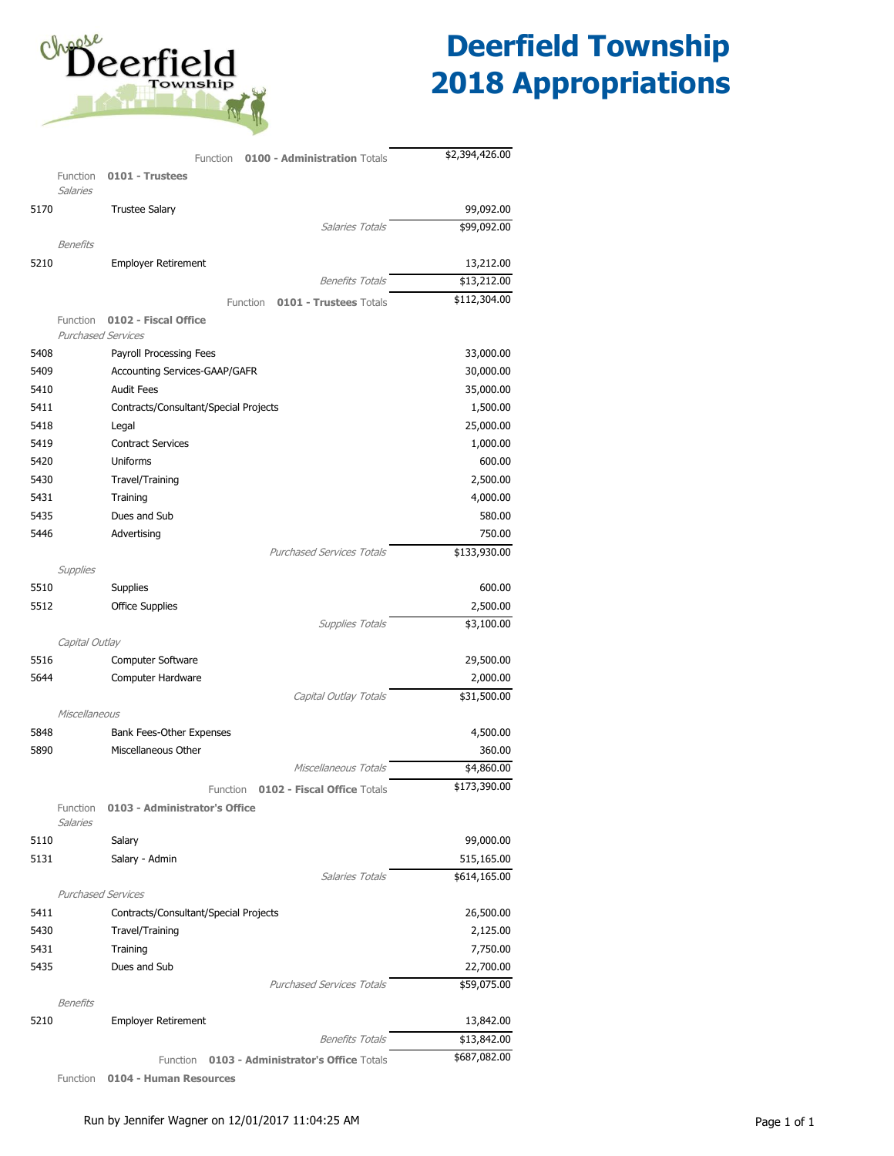

|      | Function<br><b>0100 - Administration Totals</b>  | \$2,394,426.00 |
|------|--------------------------------------------------|----------------|
|      | Function<br>0101 - Trustees                      |                |
|      | <b>Salaries</b>                                  |                |
| 5170 | <b>Trustee Salary</b>                            | 99,092.00      |
|      | Salaries Totals                                  | \$99,092.00    |
|      | Benefits                                         |                |
| 5210 | <b>Employer Retirement</b>                       | 13,212.00      |
|      | <b>Benefits Totals</b>                           | \$13,212.00    |
|      | 0101 - Trustees Totals<br>Function               | \$112,304.00   |
|      | 0102 - Fiscal Office<br>Function                 |                |
|      | <b>Purchased Services</b>                        |                |
| 5408 | Payroll Processing Fees                          | 33,000.00      |
| 5409 | Accounting Services-GAAP/GAFR                    | 30,000.00      |
| 5410 | <b>Audit Fees</b>                                | 35,000.00      |
| 5411 | Contracts/Consultant/Special Projects            | 1,500.00       |
| 5418 | Legal                                            | 25,000.00      |
| 5419 | <b>Contract Services</b>                         | 1,000.00       |
| 5420 | Uniforms                                         | 600.00         |
| 5430 | Travel/Training                                  | 2,500.00       |
| 5431 | Training                                         | 4,000.00       |
| 5435 | Dues and Sub                                     | 580.00         |
| 5446 | Advertising<br><b>Purchased Services Totals</b>  | 750.00         |
|      |                                                  | \$133,930.00   |
| 5510 | Supplies<br>Supplies                             | 600.00         |
| 5512 | <b>Office Supplies</b>                           | 2,500.00       |
|      | <b>Supplies Totals</b>                           | \$3,100.00     |
|      | Capital Outlay                                   |                |
| 5516 | <b>Computer Software</b>                         | 29,500.00      |
| 5644 | Computer Hardware                                | 2,000.00       |
|      | Capital Outlay Totals                            | \$31,500.00    |
|      | Miscellaneous                                    |                |
| 5848 | Bank Fees-Other Expenses                         | 4,500.00       |
| 5890 | Miscellaneous Other                              | 360.00         |
|      | Miscellaneous Totals                             | \$4,860.00     |
|      | 0102 - Fiscal Office Totals<br>Function          | \$173,390.00   |
|      | 0103 - Administrator's Office<br>Function        |                |
|      | Salaries                                         |                |
| 5110 | Salary                                           | 99,000.00      |
| 5131 | Salary - Admin                                   | 515,165.00     |
|      | Salaries Totals                                  | \$614,165.00   |
|      | <b>Purchased Services</b>                        |                |
| 5411 | Contracts/Consultant/Special Projects            | 26,500.00      |
| 5430 | Travel/Training                                  | 2,125.00       |
| 5431 | Training                                         | 7,750.00       |
| 5435 | Dues and Sub                                     | 22,700.00      |
|      | <b>Purchased Services Totals</b>                 | \$59,075.00    |
|      | <b>Benefits</b>                                  |                |
| 5210 | <b>Employer Retirement</b>                       | 13,842.00      |
|      | <b>Benefits Totals</b>                           | \$13,842.00    |
|      | 0103 - Administrator's Office Totals<br>Function | \$687,082.00   |
|      |                                                  |                |

Function **0104 - Human Resources**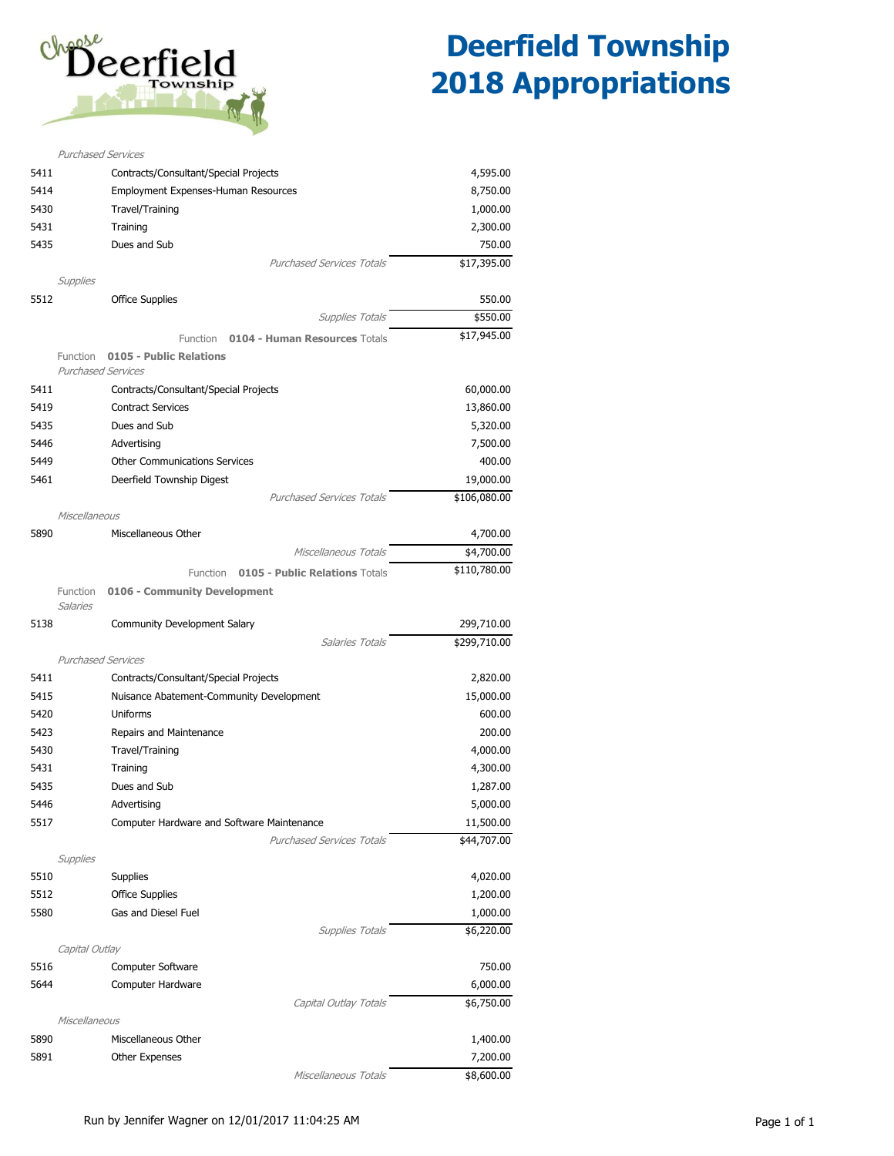

|      | <b>Purchased Services</b>                                        |                         |
|------|------------------------------------------------------------------|-------------------------|
| 5411 | Contracts/Consultant/Special Projects                            | 4,595.00                |
| 5414 | Employment Expenses-Human Resources                              | 8,750.00                |
| 5430 | Travel/Training                                                  | 1,000.00                |
| 5431 | Training                                                         | 2,300.00                |
| 5435 | Dues and Sub                                                     | 750.00                  |
|      | <b>Purchased Services Totals</b>                                 | \$17,395.00             |
|      | Supplies                                                         |                         |
| 5512 | <b>Office Supplies</b><br><b>Supplies Totals</b>                 | 550.00                  |
|      |                                                                  | \$550.00<br>\$17,945.00 |
|      | Function<br><b>0104 - Human Resources Totals</b>                 |                         |
|      | 0105 - Public Relations<br>Function<br><b>Purchased Services</b> |                         |
| 5411 | Contracts/Consultant/Special Projects                            | 60,000.00               |
| 5419 | <b>Contract Services</b>                                         | 13,860.00               |
| 5435 | Dues and Sub                                                     | 5,320.00                |
| 5446 | Advertising                                                      | 7,500.00                |
| 5449 | <b>Other Communications Services</b>                             | 400.00                  |
| 5461 | Deerfield Township Digest                                        | 19,000.00               |
|      | <b>Purchased Services Totals</b>                                 | \$106,080.00            |
|      | Miscellaneous                                                    |                         |
| 5890 | Miscellaneous Other                                              | 4,700.00                |
|      | Miscellaneous Totals                                             | \$4,700.00              |
|      | <b>0105 - Public Relations Totals</b><br>Function                | \$110,780.00            |
|      | 0106 - Community Development<br>Function<br><b>Salaries</b>      |                         |
|      |                                                                  |                         |
| 5138 | <b>Community Development Salary</b>                              | 299,710.00              |
|      | <b>Salaries Totals</b>                                           | \$299,710.00            |
|      | <b>Purchased Services</b>                                        |                         |
| 5411 | Contracts/Consultant/Special Projects                            | 2,820.00                |
| 5415 | Nuisance Abatement-Community Development                         | 15,000.00               |
| 5420 | Uniforms                                                         | 600.00                  |
| 5423 | Repairs and Maintenance                                          | 200.00                  |
| 5430 | Travel/Training                                                  | 4,000.00                |
| 5431 | Training                                                         | 4,300.00                |
| 5435 | Dues and Sub                                                     | 1,287.00                |
| 5446 | Advertising                                                      | 5,000.00                |
| 5517 | Computer Hardware and Software Maintenance                       | 11,500.00               |
|      | <b>Purchased Services Totals</b>                                 | \$44,707.00             |
|      | Supplies                                                         |                         |
| 5510 | <b>Supplies</b>                                                  | 4,020.00                |
| 5512 | <b>Office Supplies</b>                                           | 1,200.00                |
| 5580 | Gas and Diesel Fuel                                              | 1,000.00                |
|      | Supplies Totals                                                  | \$6,220.00              |
|      | Capital Outlay                                                   |                         |
| 5516 | Computer Software                                                | 750.00                  |
| 5644 | Computer Hardware                                                | 6,000.00                |
|      | Capital Outlay Totals                                            | \$6,750.00              |
|      | Miscellaneous                                                    |                         |
| 5890 | Miscellaneous Other                                              | 1,400.00                |
| 5891 | Other Expenses<br>Miscellaneous Totals                           | 7,200.00<br>\$8,600.00  |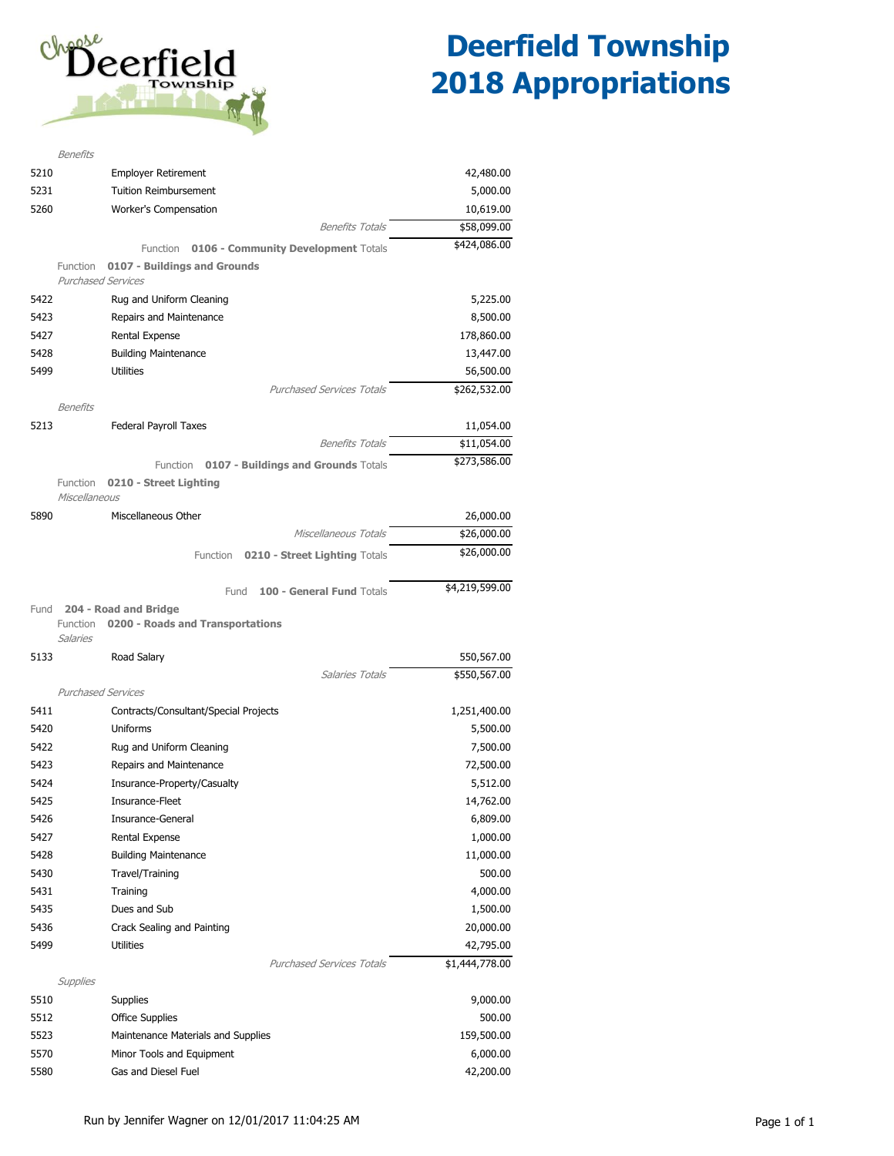

|      | <b>Benefits</b>                                        |                |
|------|--------------------------------------------------------|----------------|
| 5210 | <b>Employer Retirement</b>                             | 42,480.00      |
| 5231 | <b>Tuition Reimbursement</b>                           | 5,000.00       |
| 5260 | Worker's Compensation                                  | 10,619.00      |
|      | <b>Benefits Totals</b>                                 | \$58,099.00    |
|      | Function<br><b>0106 - Community Development Totals</b> | \$424,086.00   |
|      | 0107 - Buildings and Grounds<br>Function               |                |
|      | <b>Purchased Services</b>                              |                |
| 5422 | Rug and Uniform Cleaning                               | 5,225.00       |
| 5423 | Repairs and Maintenance                                | 8,500.00       |
| 5427 | Rental Expense                                         | 178,860.00     |
| 5428 | <b>Building Maintenance</b>                            | 13,447.00      |
| 5499 | <b>Utilities</b>                                       | 56,500.00      |
|      | <b>Purchased Services Totals</b>                       | \$262,532.00   |
|      | Benefits                                               |                |
| 5213 | Federal Payroll Taxes                                  | 11,054.00      |
|      | <b>Benefits Totals</b>                                 | \$11,054.00    |
|      | Function 0107 - Buildings and Grounds Totals           | \$273,586.00   |
|      | 0210 - Street Lighting<br>Function                     |                |
|      | Miscellaneous                                          |                |
| 5890 | Miscellaneous Other                                    | 26,000.00      |
|      | Miscellaneous Totals                                   | \$26,000.00    |
|      | 0210 - Street Lighting Totals<br>Function              | \$26,000.00    |
|      |                                                        |                |
|      | 100 - General Fund Totals<br>Fund                      | \$4,219,599.00 |
| Fund | 204 - Road and Bridge                                  |                |
|      |                                                        |                |
|      | Function<br>0200 - Roads and Transportations           |                |
|      | Salaries                                               |                |
| 5133 | Road Salary                                            | 550,567.00     |
|      | <b>Salaries Totals</b>                                 | \$550,567.00   |
|      | <b>Purchased Services</b>                              |                |
| 5411 | Contracts/Consultant/Special Projects                  | 1,251,400.00   |
| 5420 | Uniforms                                               | 5,500.00       |
| 5422 | Rug and Uniform Cleaning                               | 7,500.00       |
| 5423 | Repairs and Maintenance                                | 72,500.00      |
| 5424 | Insurance-Property/Casualty                            | 5,512.00       |
| 5425 | Insurance-Fleet                                        | 14,762.00      |
| 5426 | Insurance-General                                      | 6,809.00       |
| 5427 | Rental Expense                                         | 1,000.00       |
| 5428 | <b>Building Maintenance</b>                            | 11,000.00      |
| 5430 | Travel/Training                                        | 500.00         |
| 5431 | Training                                               | 4,000.00       |
| 5435 | Dues and Sub                                           | 1,500.00       |
| 5436 | Crack Sealing and Painting                             | 20,000.00      |
| 5499 | Utilities                                              | 42,795.00      |
|      | <b>Purchased Services Totals</b>                       | \$1,444,778.00 |
|      | Supplies                                               |                |
| 5510 | <b>Supplies</b>                                        | 9,000.00       |
| 5512 | <b>Office Supplies</b>                                 | 500.00         |
| 5523 | Maintenance Materials and Supplies                     | 159,500.00     |
| 5570 | Minor Tools and Equipment                              | 6,000.00       |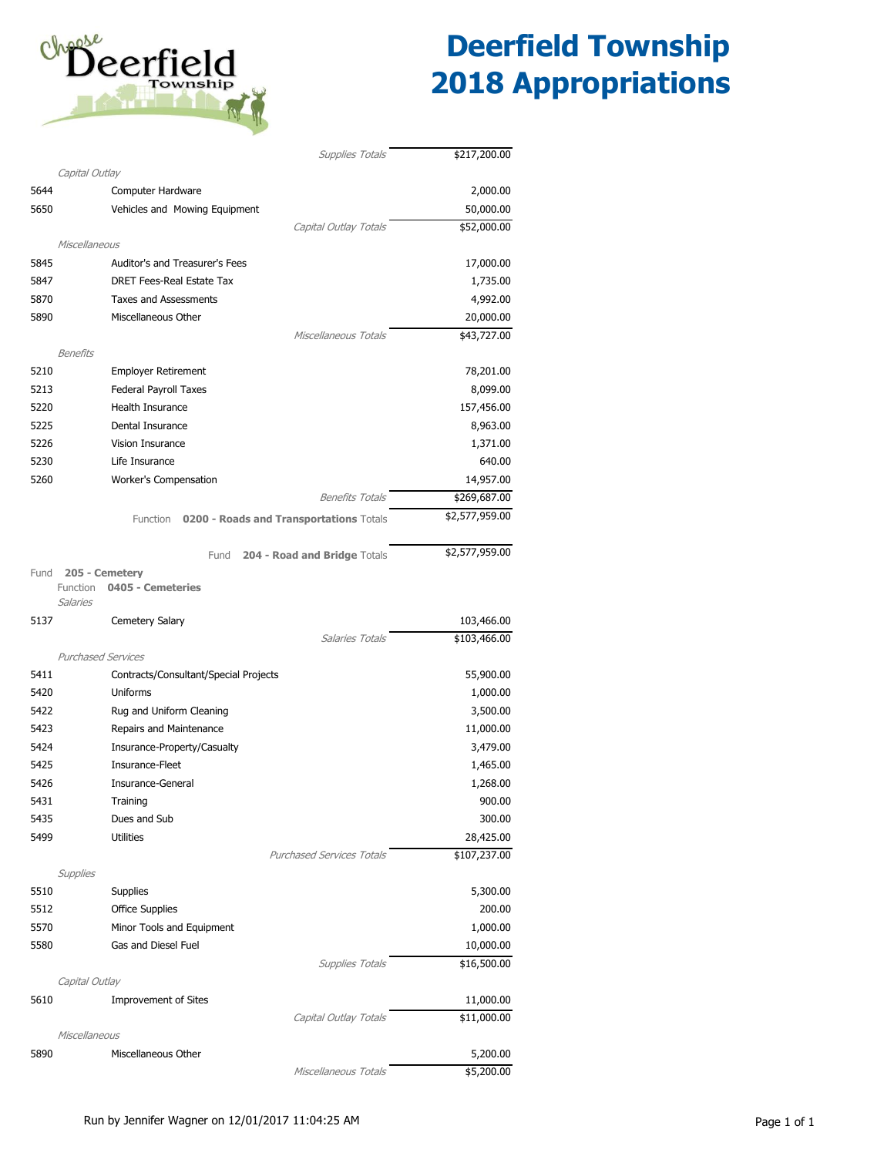

|      | <b>Supplies Totals</b>                              | \$217,200.00   |
|------|-----------------------------------------------------|----------------|
|      | Capital Outlay                                      |                |
| 5644 | Computer Hardware                                   | 2,000.00       |
| 5650 | Vehicles and Mowing Equipment                       | 50,000.00      |
|      | Capital Outlay Totals                               | \$52,000.00    |
|      | Miscellaneous<br>Auditor's and Treasurer's Fees     |                |
| 5845 |                                                     | 17,000.00      |
| 5847 | <b>DRET Fees-Real Estate Tax</b>                    | 1,735.00       |
| 5870 | <b>Taxes and Assessments</b><br>Miscellaneous Other | 4,992.00       |
| 5890 | Miscellaneous Totals                                | 20,000.00      |
|      | <b>Benefits</b>                                     | \$43,727.00    |
| 5210 | <b>Employer Retirement</b>                          | 78,201.00      |
| 5213 | Federal Payroll Taxes                               | 8,099.00       |
| 5220 | Health Insurance                                    | 157,456.00     |
| 5225 | Dental Insurance                                    | 8,963.00       |
| 5226 | Vision Insurance                                    | 1,371.00       |
| 5230 | Life Insurance                                      | 640.00         |
| 5260 | Worker's Compensation                               | 14,957.00      |
|      | <b>Benefits Totals</b>                              | \$269,687.00   |
|      |                                                     | \$2,577,959.00 |
|      | Function<br>0200 - Roads and Transportations Totals |                |
|      | 204 - Road and Bridge Totals<br>Fund                | \$2,577,959.00 |
| Fund | 205 - Cemetery                                      |                |
|      | Function<br>0405 - Cemeteries<br>Salaries           |                |
| 5137 | Cemetery Salary                                     | 103,466.00     |
|      | Salaries Totals                                     | \$103,466.00   |
|      | <b>Purchased Services</b>                           |                |
| 5411 | Contracts/Consultant/Special Projects               | 55,900.00      |
| 5420 | Uniforms                                            | 1,000.00       |
| 5422 | Rug and Uniform Cleaning                            | 3,500.00       |
| 5423 | Repairs and Maintenance                             | 11,000.00      |
| 5424 | Insurance-Property/Casualty                         | 3,479.00       |
| 5425 | Insurance-Fleet                                     | 1,465.00       |
| 5426 | Insurance-General                                   | 1,268.00       |
| 5431 | Training                                            | 900.00         |
| 5435 | Dues and Sub                                        | 300.00         |
| 5499 | <b>Utilities</b>                                    | 28,425.00      |
|      | <b>Purchased Services Totals</b>                    | \$107,237.00   |
|      | Supplies                                            |                |
| 5510 | <b>Supplies</b>                                     | 5,300.00       |
| 5512 | <b>Office Supplies</b>                              | 200.00         |
| 5570 | Minor Tools and Equipment                           | 1,000.00       |
| 5580 | Gas and Diesel Fuel                                 | 10,000.00      |
|      | <b>Supplies Totals</b>                              | \$16,500.00    |
| 5610 | Capital Outlay<br><b>Improvement of Sites</b>       | 11,000.00      |
|      | Capital Outlay Totals                               | \$11,000.00    |
|      | Miscellaneous                                       |                |
| 5890 | Miscellaneous Other                                 | 5,200.00       |
|      | Miscellaneous Totals                                | \$5,200.00     |
|      |                                                     |                |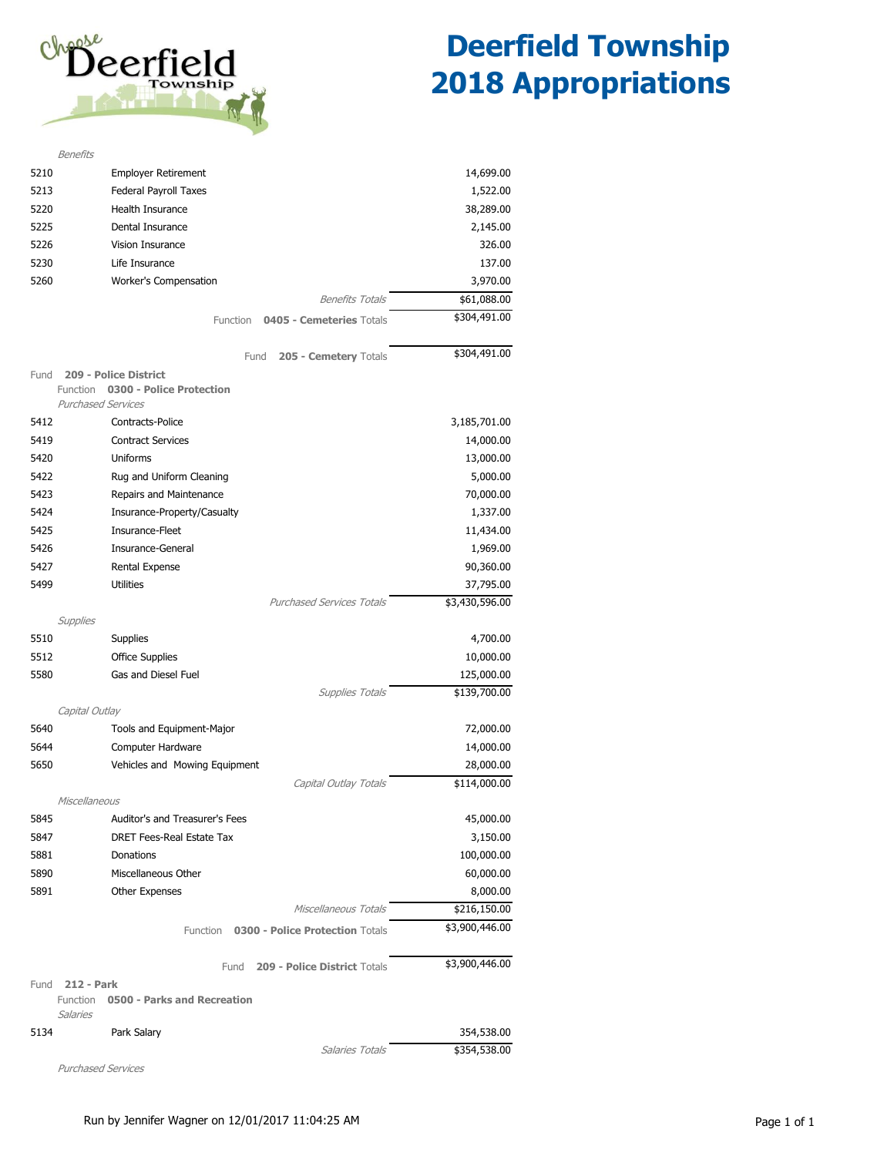

|      | <b>Benefits</b>                                     |                |
|------|-----------------------------------------------------|----------------|
| 5210 | <b>Employer Retirement</b>                          | 14,699.00      |
| 5213 | Federal Payroll Taxes                               | 1,522.00       |
| 5220 | Health Insurance                                    | 38,289.00      |
| 5225 | Dental Insurance                                    | 2,145.00       |
| 5226 | Vision Insurance                                    | 326.00         |
| 5230 | Life Insurance                                      | 137.00         |
| 5260 | Worker's Compensation                               | 3,970.00       |
|      | <b>Benefits Totals</b>                              | \$61,088.00    |
|      | <b>Function</b><br>0405 - Cemeteries Totals         | \$304,491.00   |
|      |                                                     |                |
|      | 205 - Cemetery Totals<br>Fund                       | \$304,491.00   |
| Fund | 209 - Police District                               |                |
|      | 0300 - Police Protection<br>Function                |                |
|      | <b>Purchased Services</b>                           |                |
| 5412 | Contracts-Police                                    | 3,185,701.00   |
| 5419 | <b>Contract Services</b>                            | 14,000.00      |
| 5420 | Uniforms                                            | 13,000.00      |
| 5422 | Rug and Uniform Cleaning                            | 5,000.00       |
| 5423 | Repairs and Maintenance                             | 70,000.00      |
| 5424 | Insurance-Property/Casualty                         | 1,337.00       |
| 5425 | Insurance-Fleet                                     | 11,434.00      |
| 5426 | Insurance-General                                   | 1,969.00       |
| 5427 | Rental Expense                                      | 90,360.00      |
| 5499 | <b>Utilities</b>                                    | 37,795.00      |
|      | <b>Purchased Services Totals</b>                    | \$3,430,596.00 |
|      | Supplies                                            |                |
| 5510 | <b>Supplies</b>                                     | 4,700.00       |
| 5512 | <b>Office Supplies</b>                              | 10,000.00      |
| 5580 | Gas and Diesel Fuel                                 | 125,000.00     |
|      | <b>Supplies Totals</b>                              | \$139,700.00   |
|      | Capital Outlay                                      |                |
| 5640 | Tools and Equipment-Major                           | 72,000.00      |
| 5644 | Computer Hardware                                   | 14,000.00      |
| 5650 | Vehicles and Mowing Equipment                       | 28,000.00      |
|      | Capital Outlay Totals                               | \$114,000.00   |
|      | Miscellaneous                                       |                |
| 5845 | Auditor's and Treasurer's Fees                      | 45,000.00      |
| 5847 | DRET Fees-Real Estate Tax                           | 3,150.00       |
| 5881 | Donations                                           | 100,000.00     |
| 5890 | Miscellaneous Other                                 | 60,000.00      |
| 5891 | <b>Other Expenses</b>                               | 8,000.00       |
|      | Miscellaneous Totals                                | \$216,150.00   |
|      | 0300 - Police Protection Totals<br>Function         | \$3,900,446.00 |
|      | 209 - Police District Totals<br>Fund                | \$3,900,446.00 |
| Fund | <b>212 - Park</b>                                   |                |
|      | Function<br>0500 - Parks and Recreation<br>Salaries |                |
| 5134 | Park Salary                                         | 354,538.00     |
|      | Salaries Totals                                     | \$354,538.00   |

Purchased Services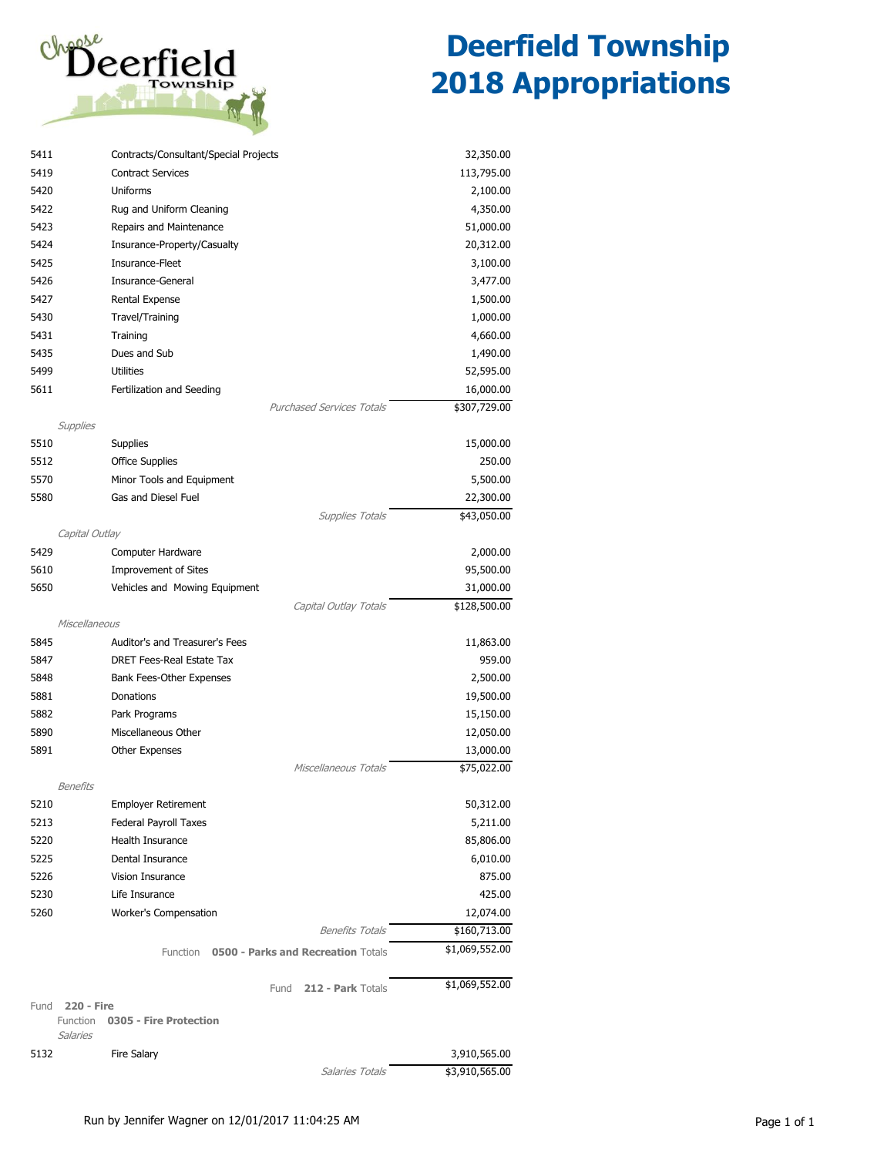

| 5411 | Contracts/Consultant/Special Projects            | 32,350.00      |
|------|--------------------------------------------------|----------------|
| 5419 | <b>Contract Services</b>                         | 113,795.00     |
| 5420 | Uniforms                                         | 2,100.00       |
| 5422 | Rug and Uniform Cleaning                         | 4,350.00       |
| 5423 | Repairs and Maintenance                          | 51,000.00      |
| 5424 | Insurance-Property/Casualty                      | 20,312.00      |
| 5425 | Insurance-Fleet                                  | 3,100.00       |
| 5426 | Insurance-General                                | 3,477.00       |
| 5427 | Rental Expense                                   | 1,500.00       |
| 5430 | Travel/Training                                  | 1,000.00       |
| 5431 | Training                                         | 4,660.00       |
| 5435 | Dues and Sub                                     | 1,490.00       |
| 5499 | <b>Utilities</b>                                 | 52,595.00      |
| 5611 | Fertilization and Seeding                        | 16,000.00      |
|      | <b>Purchased Services Totals</b>                 | \$307,729.00   |
|      | Supplies                                         |                |
| 5510 | <b>Supplies</b>                                  | 15,000.00      |
| 5512 | <b>Office Supplies</b>                           | 250.00         |
| 5570 | Minor Tools and Equipment                        | 5,500.00       |
| 5580 | Gas and Diesel Fuel                              | 22,300.00      |
|      | <b>Supplies Totals</b>                           | \$43,050.00    |
|      | Capital Outlay                                   |                |
| 5429 | Computer Hardware                                | 2,000.00       |
| 5610 | <b>Improvement of Sites</b>                      | 95,500.00      |
| 5650 | Vehicles and Mowing Equipment                    | 31,000.00      |
|      | Capital Outlay Totals                            | \$128,500.00   |
|      | Miscellaneous                                    |                |
| 5845 | Auditor's and Treasurer's Fees                   | 11,863.00      |
| 5847 | DRET Fees-Real Estate Tax                        | 959.00         |
| 5848 | Bank Fees-Other Expenses                         | 2,500.00       |
| 5881 | Donations                                        | 19,500.00      |
| 5882 | Park Programs                                    | 15,150.00      |
| 5890 | Miscellaneous Other                              |                |
|      |                                                  | 12,050.00      |
| 5891 | <b>Other Expenses</b><br>Miscellaneous Totals    | 13,000.00      |
|      |                                                  | \$75,022.00    |
|      | Benefits                                         |                |
| 5210 | <b>Employer Retirement</b>                       | 50,312.00      |
| 5213 | Federal Payroll Taxes                            | 5,211.00       |
| 5220 | Health Insurance                                 | 85,806.00      |
| 5225 | Dental Insurance                                 | 6,010.00       |
| 5226 | <b>Vision Insurance</b>                          | 875.00         |
| 5230 | Life Insurance                                   | 425.00         |
| 5260 | Worker's Compensation                            | 12,074.00      |
|      | <b>Benefits Totals</b>                           | \$160,713.00   |
|      | 0500 - Parks and Recreation Totals<br>Function   | \$1,069,552.00 |
|      | 212 - Park Totals<br>Fund                        | \$1,069,552.00 |
| Fund | 220 - Fire<br>0305 - Fire Protection<br>Function |                |
|      | Salaries                                         |                |
| 5132 | <b>Fire Salary</b>                               | 3,910,565.00   |
|      | Salaries Totals                                  | \$3,910,565.00 |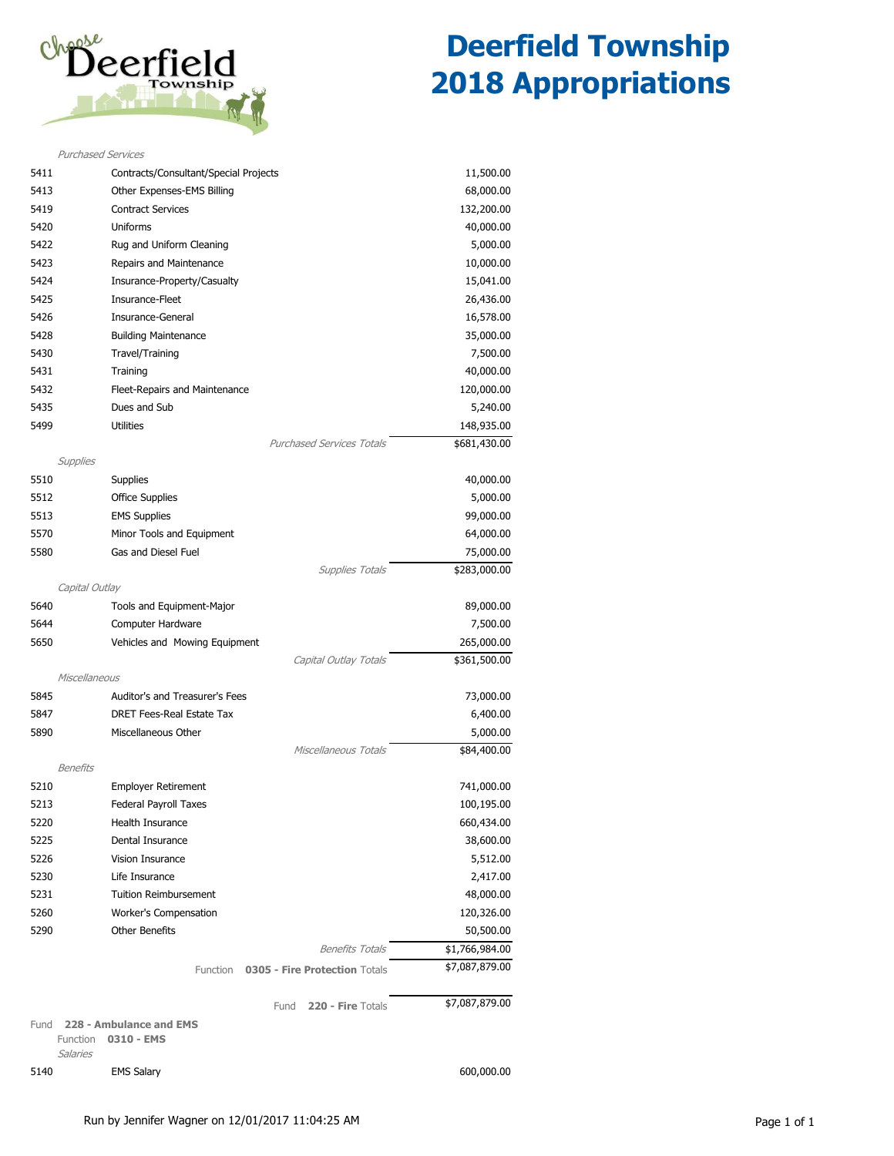

|                 | <b>Purchased Services</b>                   |                |  |  |  |
|-----------------|---------------------------------------------|----------------|--|--|--|
| 5411            | Contracts/Consultant/Special Projects       | 11,500.00      |  |  |  |
| 5413            | Other Expenses-EMS Billing                  | 68,000.00      |  |  |  |
| 5419            | <b>Contract Services</b>                    | 132,200.00     |  |  |  |
| 5420            | <b>Uniforms</b>                             | 40,000.00      |  |  |  |
| 5422            | Rug and Uniform Cleaning                    | 5,000.00       |  |  |  |
| 5423            | Repairs and Maintenance                     | 10,000.00      |  |  |  |
| 5424            | Insurance-Property/Casualty                 | 15,041.00      |  |  |  |
| 5425            | Insurance-Fleet                             | 26,436.00      |  |  |  |
| 5426            | Insurance-General                           | 16,578.00      |  |  |  |
| 5428            | <b>Building Maintenance</b>                 | 35,000.00      |  |  |  |
| 5430            | Travel/Training                             | 7,500.00       |  |  |  |
| 5431            | Training                                    | 40,000.00      |  |  |  |
| 5432            | Fleet-Repairs and Maintenance               | 120,000.00     |  |  |  |
| 5435            | Dues and Sub                                | 5,240.00       |  |  |  |
| 5499            | <b>Utilities</b>                            | 148,935.00     |  |  |  |
|                 | <b>Purchased Services Totals</b>            | \$681,430.00   |  |  |  |
| Supplies        |                                             |                |  |  |  |
| 5510            | <b>Supplies</b>                             | 40,000.00      |  |  |  |
| 5512            | <b>Office Supplies</b>                      | 5,000.00       |  |  |  |
| 5513            | <b>EMS Supplies</b>                         | 99,000.00      |  |  |  |
| 5570            | Minor Tools and Equipment                   | 64,000.00      |  |  |  |
| 5580            | Gas and Diesel Fuel                         | 75,000.00      |  |  |  |
|                 | <b>Supplies Totals</b>                      | \$283,000.00   |  |  |  |
| Capital Outlay  |                                             |                |  |  |  |
| 5640            | Tools and Equipment-Major                   | 89,000.00      |  |  |  |
| 5644            | Computer Hardware                           | 7,500.00       |  |  |  |
| 5650            | Vehicles and Mowing Equipment<br>265,000.00 |                |  |  |  |
|                 | Capital Outlay Totals                       | \$361,500.00   |  |  |  |
| Miscellaneous   |                                             |                |  |  |  |
| 5845            | Auditor's and Treasurer's Fees              | 73,000.00      |  |  |  |
| 5847            | <b>DRET Fees-Real Estate Tax</b>            | 6,400.00       |  |  |  |
| 5890            | Miscellaneous Other                         | 5,000.00       |  |  |  |
|                 | Miscellaneous Totals                        | \$84,400.00    |  |  |  |
| <b>Benefits</b> |                                             |                |  |  |  |
| 5210            | <b>Employer Retirement</b>                  | 741,000.00     |  |  |  |
| 5213            | Federal Payroll Taxes                       | 100,195.00     |  |  |  |
| 5220            | Health Insurance                            | 660,434.00     |  |  |  |
| 5225            | Dental Insurance<br>38,600.00               |                |  |  |  |
| 5226            | Vision Insurance<br>5,512.00                |                |  |  |  |
| 5230            | Life Insurance                              | 2,417.00       |  |  |  |
| 5231            | <b>Tuition Reimbursement</b><br>48,000.00   |                |  |  |  |
| 5260            | Worker's Compensation<br>120,326.00         |                |  |  |  |
| 5290            | <b>Other Benefits</b>                       | 50,500.00      |  |  |  |
|                 | <b>Benefits Totals</b>                      | \$1,766,984.00 |  |  |  |
|                 | 0305 - Fire Protection Totals<br>Function   | \$7,087,879.00 |  |  |  |
|                 | 220 - Fire Totals<br>Fund                   | \$7,087,879.00 |  |  |  |
| Fund            | 228 - Ambulance and EMS                     |                |  |  |  |
| Function        | 0310 - EMS                                  |                |  |  |  |
| Salaries        |                                             |                |  |  |  |
| 5140            | <b>EMS Salary</b>                           | 600,000.00     |  |  |  |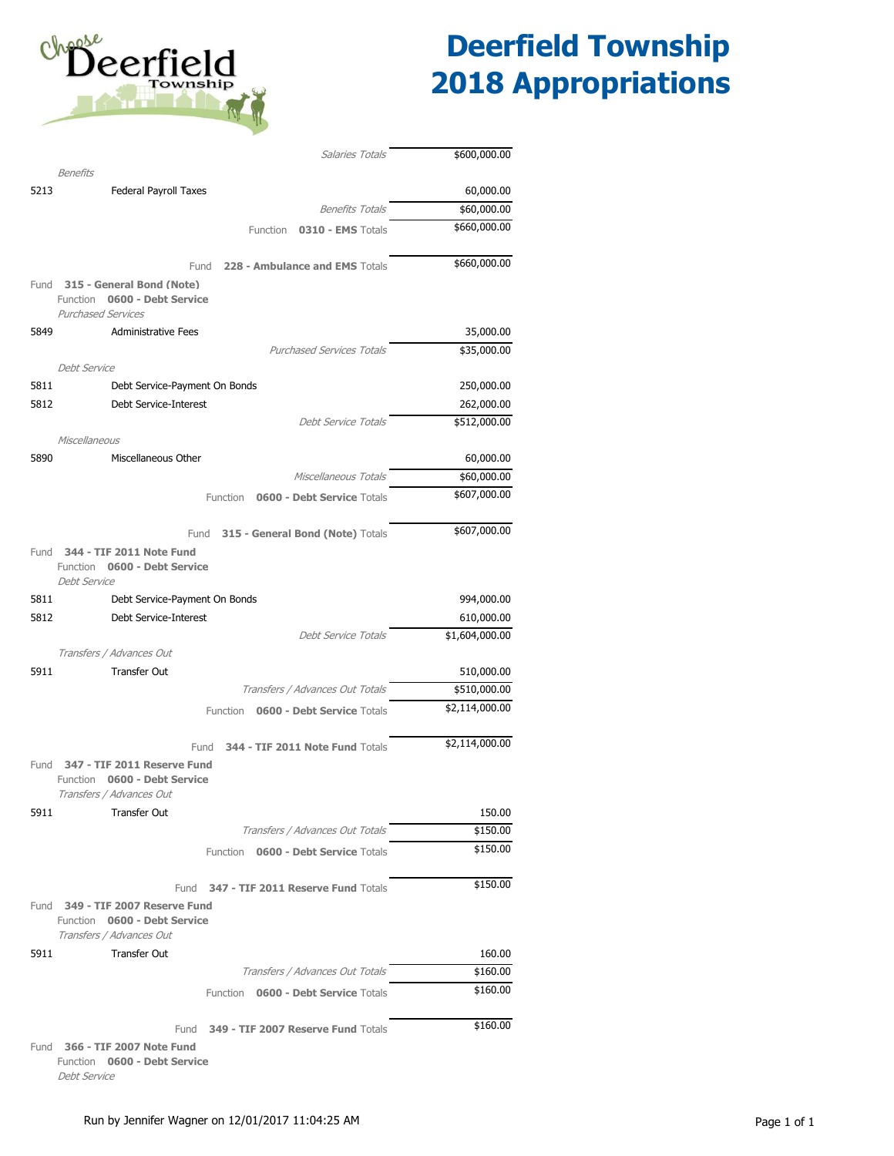

|      | Salaries Totals                                                                    | \$600,000.00       |
|------|------------------------------------------------------------------------------------|--------------------|
|      | <b>Benefits</b>                                                                    |                    |
| 5213 | Federal Payroll Taxes                                                              | 60,000.00          |
|      | <b>Benefits Totals</b>                                                             | \$60,000.00        |
|      | 0310 - EMS Totals<br><b>Function</b>                                               | \$660,000.00       |
|      |                                                                                    | \$660,000.00       |
|      | 228 - Ambulance and EMS Totals<br>Fund<br>Fund 315 - General Bond (Note)           |                    |
|      | 0600 - Debt Service<br>Function<br><b>Purchased Services</b>                       |                    |
| 5849 | <b>Administrative Fees</b>                                                         | 35,000.00          |
|      | <b>Purchased Services Totals</b>                                                   | \$35,000.00        |
|      | <b>Debt Service</b>                                                                |                    |
| 5811 | Debt Service-Payment On Bonds                                                      | 250,000.00         |
| 5812 | Debt Service-Interest                                                              | 262,000.00         |
|      | <b>Debt Service Totals</b>                                                         | \$512,000.00       |
|      | Miscellaneous                                                                      |                    |
| 5890 | Miscellaneous Other                                                                | 60,000.00          |
|      | Miscellaneous Totals                                                               | \$60,000.00        |
|      | Function 0600 - Debt Service Totals                                                | \$607,000.00       |
|      |                                                                                    |                    |
|      | 315 - General Bond (Note) Totals<br>Fund                                           | \$607,000.00       |
| Fund | 344 - TIF 2011 Note Fund<br>0600 - Debt Service<br>Function<br><b>Debt Service</b> |                    |
| 5811 | Debt Service-Payment On Bonds                                                      | 994,000.00         |
| 5812 | Debt Service-Interest                                                              | 610,000.00         |
|      | <b>Debt Service Totals</b>                                                         | \$1,604,000.00     |
|      | Transfers / Advances Out                                                           |                    |
| 5911 | <b>Transfer Out</b>                                                                | 510,000.00         |
|      | Transfers / Advances Out Totals                                                    | \$510,000.00       |
|      | Function 0600 - Debt Service Totals                                                | \$2,114,000.00     |
|      | 344 - TIF 2011 Note Fund Totals<br>Fund                                            | \$2,114,000.00     |
| Fund | 347 - TIF 2011 Reserve Fund                                                        |                    |
|      | Function 0600 - Debt Service                                                       |                    |
|      | Transfers / Advances Out                                                           |                    |
| 5911 | Transfer Out<br>Transfers / Advances Out Totals                                    | 150.00<br>\$150.00 |
|      | Function 0600 - Debt Service Totals                                                | \$150.00           |
|      |                                                                                    |                    |
|      | Fund 347 - TIF 2011 Reserve Fund Totals                                            | \$150.00           |
|      | Fund 349 - TIF 2007 Reserve Fund                                                   |                    |
|      | Function 0600 - Debt Service<br>Transfers / Advances Out                           |                    |
| 5911 | <b>Transfer Out</b>                                                                | 160.00             |
|      | Transfers / Advances Out Totals                                                    | \$160.00           |
|      | Function 0600 - Debt Service Totals                                                | \$160.00           |
|      |                                                                                    |                    |
|      | Fund<br>349 - TIF 2007 Reserve Fund Totals                                         | \$160.00           |
| Fund | 366 - TIF 2007 Note Fund<br>Function 0600 - Debt Service                           |                    |

Debt Service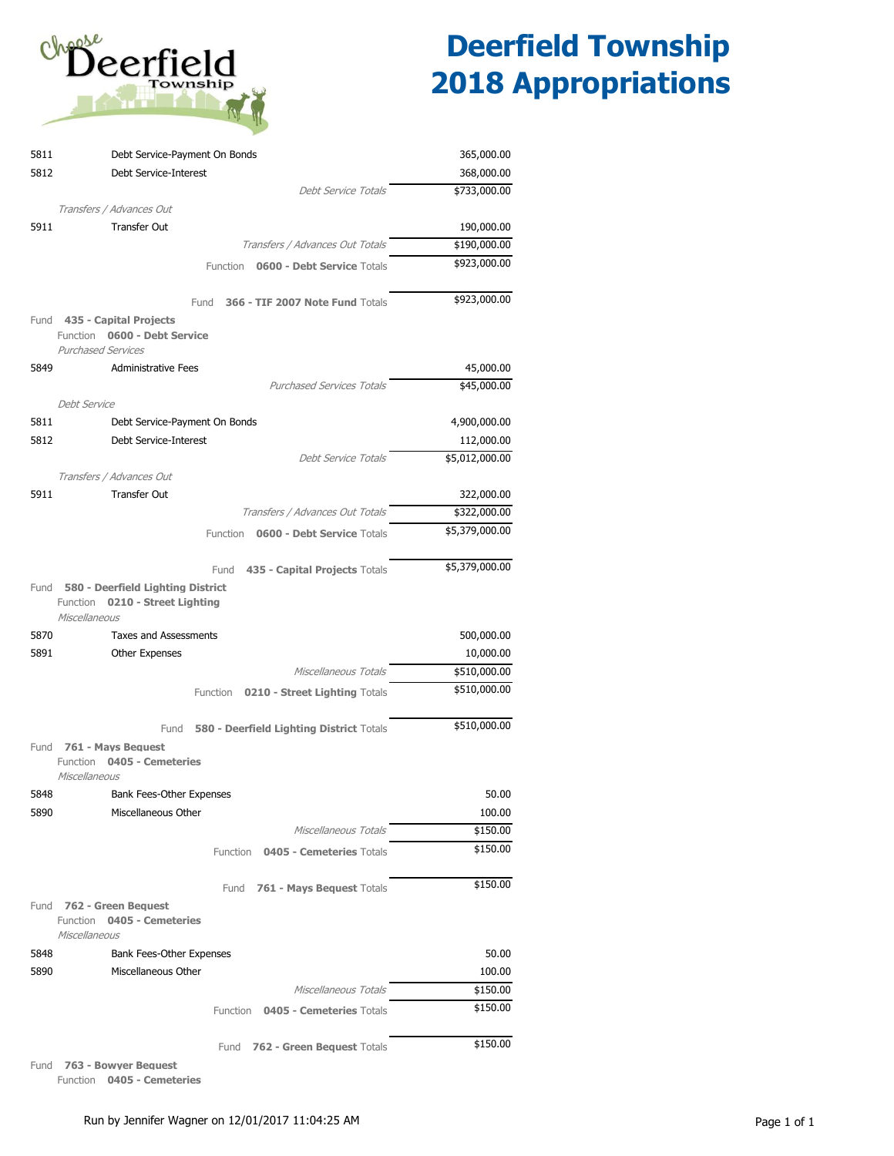

| 5811 | Debt Service-Payment On Bonds                                | 365,000.00     |
|------|--------------------------------------------------------------|----------------|
| 5812 | Debt Service-Interest                                        | 368,000.00     |
|      | Debt Service Totals                                          | \$733,000.00   |
|      | Transfers / Advances Out                                     |                |
| 5911 | <b>Transfer Out</b>                                          | 190,000.00     |
|      | Transfers / Advances Out Totals                              | \$190,000.00   |
|      | 0600 - Debt Service Totals<br>Function                       | \$923,000.00   |
|      | Fund<br>366 - TIF 2007 Note Fund Totals                      | \$923,000.00   |
|      | Fund 435 - Capital Projects                                  |                |
|      | 0600 - Debt Service<br>Function<br><b>Purchased Services</b> |                |
| 5849 | <b>Administrative Fees</b>                                   | 45,000.00      |
|      | <b>Purchased Services Totals</b>                             | \$45,000.00    |
|      | <b>Debt Service</b>                                          |                |
| 5811 | Debt Service-Payment On Bonds                                | 4,900,000.00   |
| 5812 | Debt Service-Interest                                        | 112,000.00     |
|      | Debt Service Totals                                          | \$5,012,000.00 |
|      | Transfers / Advances Out                                     |                |
| 5911 | <b>Transfer Out</b>                                          | 322,000.00     |
|      | Transfers / Advances Out Totals                              | \$322,000.00   |
|      | Function<br><b>0600 - Debt Service Totals</b>                | \$5,379,000.00 |
|      |                                                              |                |
|      | 435 - Capital Projects Totals<br>Fund                        | \$5,379,000.00 |
| Fund | 580 - Deerfield Lighting District                            |                |
|      | Function<br>0210 - Street Lighting<br>Miscellaneous          |                |
| 5870 | <b>Taxes and Assessments</b>                                 | 500,000.00     |
| 5891 | Other Expenses                                               | 10,000.00      |
|      | Miscellaneous Totals                                         | \$510,000.00   |
|      | Function 0210 - Street Lighting Totals                       | \$510,000.00   |
|      |                                                              |                |
|      | 580 - Deerfield Lighting District Totals<br>Fund             | \$510,000.00   |
|      | Fund 761 - Mays Bequest<br>Function 0405 - Cemeteries        |                |
|      | Miscellaneous                                                |                |
| 5848 | Bank Fees-Other Expenses                                     | 50.00          |
| 5890 | Miscellaneous Other                                          | 100.00         |
|      | Miscellaneous Totals                                         | \$150.00       |
|      | Function 0405 - Cemeteries Totals                            | \$150.00       |
|      | Fund 761 - Mays Bequest Totals                               | \$150.00       |
|      | Fund 762 - Green Bequest                                     |                |
|      | Function 0405 - Cemeteries                                   |                |
|      | Miscellaneous                                                |                |
| 5848 | Bank Fees-Other Expenses                                     | 50.00          |
| 5890 | Miscellaneous Other                                          | 100.00         |
|      | Miscellaneous Totals                                         | \$150.00       |
|      | Function 0405 - Cemeteries Totals                            | \$150.00       |
|      | 762 - Green Bequest Totals<br>Fund                           | \$150.00       |

Fund **763 - Bowyer Bequest**

Function **0405 - Cemeteries**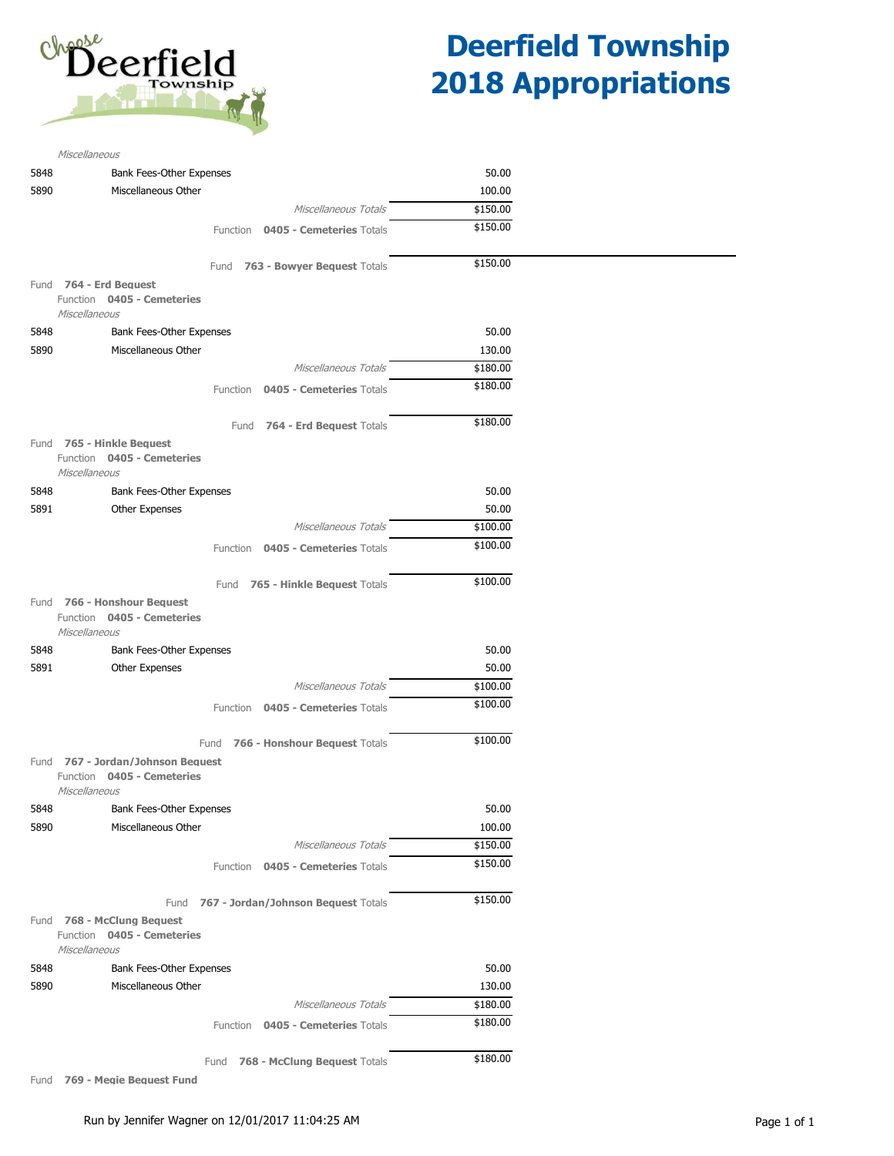

| Miscellaneous          |                                                                 |          |                                          |          |
|------------------------|-----------------------------------------------------------------|----------|------------------------------------------|----------|
| 5848                   | Bank Fees-Other Expenses                                        |          |                                          | 50.00    |
| 5890                   | Miscellaneous Other                                             |          |                                          | 100.00   |
|                        |                                                                 |          | Miscellaneous Totals                     | \$150.00 |
|                        |                                                                 |          | Function 0405 - Cemeteries Totals        | \$150.00 |
|                        |                                                                 |          | Fund 763 - Bowyer Bequest Totals         | \$150.00 |
| Fund 764 - Erd Beauest |                                                                 |          |                                          |          |
| Miscellaneous          | Function 0405 - Cemeteries                                      |          |                                          |          |
| 5848                   | Bank Fees-Other Expenses                                        |          |                                          | 50.00    |
| 5890                   | Miscellaneous Other                                             |          |                                          | 130.00   |
|                        |                                                                 |          | Miscellaneous Totals                     | \$180.00 |
|                        |                                                                 |          | Function 0405 - Cemeteries Totals        | \$180.00 |
|                        |                                                                 |          |                                          |          |
|                        |                                                                 |          | Fund 764 - Erd Bequest Totals            | \$180.00 |
| Miscellaneous          | Fund 765 - Hinkle Bequest<br>Function 0405 - Cemeteries         |          |                                          |          |
| 5848                   | Bank Fees-Other Expenses                                        |          |                                          | 50.00    |
| 5891                   | Other Expenses                                                  |          |                                          | 50.00    |
|                        |                                                                 |          | Miscellaneous Totals                     | \$100.00 |
|                        |                                                                 |          | Function 0405 - Cemeteries Totals        | \$100.00 |
|                        |                                                                 |          | Fund 765 - Hinkle Bequest Totals         | \$100.00 |
| Miscellaneous          | Fund 766 - Honshour Beauest<br>Function 0405 - Cemeteries       |          |                                          |          |
| 5848                   | Bank Fees-Other Expenses                                        |          |                                          | 50.00    |
| 5891                   | Other Expenses                                                  |          |                                          | 50.00    |
|                        |                                                                 |          | Miscellaneous Totals                     | \$100.00 |
|                        |                                                                 |          | Function 0405 - Cemeteries Totals        | \$100.00 |
|                        |                                                                 | Fund     | 766 - Honshour Bequest Totals            | \$100.00 |
| Miscellaneous          | Fund 767 - Jordan/Johnson Bequest<br>Function 0405 - Cemeteries |          |                                          |          |
| 5848                   | Bank Fees-Other Expenses                                        |          |                                          | 50.00    |
| 5890                   | Miscellaneous Other                                             |          |                                          | 100.00   |
|                        |                                                                 |          | Miscellaneous Totals                     | \$150.00 |
|                        |                                                                 | Function | 0405 - Cemeteries Totals                 | \$150.00 |
|                        |                                                                 |          | Fund 767 - Jordan/Johnson Bequest Totals | \$150.00 |
| Miscellaneous          | Fund 768 - McClung Beauest<br>Function 0405 - Cemeteries        |          |                                          |          |
| 5848                   | Bank Fees-Other Expenses                                        |          |                                          | 50.00    |
| 5890                   | Miscellaneous Other                                             |          |                                          | 130.00   |
|                        |                                                                 |          | Miscellaneous Totals                     | \$180.00 |
|                        |                                                                 | Function | 0405 - Cemeteries Totals                 | \$180.00 |
|                        |                                                                 |          | Fund 768 - McClung Bequest Totals        | \$180.00 |

Fund **769 - Megie Bequest Fund**